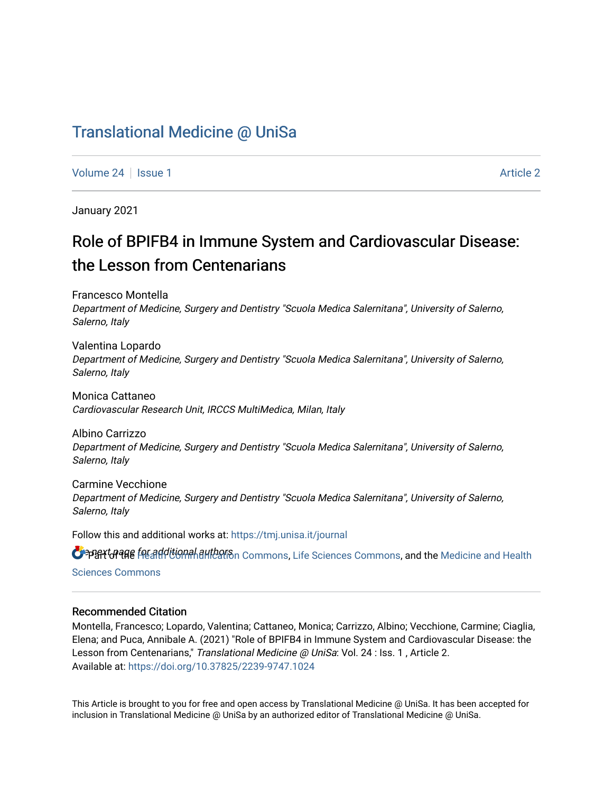# [Translational Medicine @ UniSa](https://tmj.unisa.it/journal)

[Volume 24](https://tmj.unisa.it/journal/vol24) | [Issue 1](https://tmj.unisa.it/journal/vol24/iss1) [Article 2](https://tmj.unisa.it/journal/vol24/iss1/2) | Article 2 | Article 2 | Article 2 | Article 2 | Article 2 | Article 2 | Article 2 | Article 2 | Article 2 | Article 2 | Article 2 | Article 2 | Article 2 | Article 2 | Article 2 | Article 2

January 2021

# Role of BPIFB4 in Immune System and Cardiovascular Disease: the Lesson from Centenarians

Francesco Montella Department of Medicine, Surgery and Dentistry "Scuola Medica Salernitana", University of Salerno, Salerno, Italy

Valentina Lopardo Department of Medicine, Surgery and Dentistry "Scuola Medica Salernitana", University of Salerno, Salerno, Italy

Monica Cattaneo Cardiovascular Research Unit, IRCCS MultiMedica, Milan, Italy

Albino Carrizzo Department of Medicine, Surgery and Dentistry "Scuola Medica Salernitana", University of Salerno, Salerno, Italy

Carmine Vecchione Department of Medicine, Surgery and Dentistry "Scuola Medica Salernitana", University of Salerno, Salerno, Italy

Follow this and additional works at: [https://tmj.unisa.it/journal](https://tmj.unisa.it/journal?utm_source=tmj.unisa.it%2Fjournal%2Fvol24%2Fiss1%2F2&utm_medium=PDF&utm_campaign=PDFCoverPages)

OPBYGRAGE FOR Additional authors nommons, [Life Sciences Commons](https://network.bepress.com/hgg/discipline/1016?utm_source=tmj.unisa.it%2Fjournal%2Fvol24%2Fiss1%2F2&utm_medium=PDF&utm_campaign=PDFCoverPages), and the [Medicine and Health](https://network.bepress.com/hgg/discipline/648?utm_source=tmj.unisa.it%2Fjournal%2Fvol24%2Fiss1%2F2&utm_medium=PDF&utm_campaign=PDFCoverPages) [Sciences Commons](https://network.bepress.com/hgg/discipline/648?utm_source=tmj.unisa.it%2Fjournal%2Fvol24%2Fiss1%2F2&utm_medium=PDF&utm_campaign=PDFCoverPages) 

# Recommended Citation

Montella, Francesco; Lopardo, Valentina; Cattaneo, Monica; Carrizzo, Albino; Vecchione, Carmine; Ciaglia, Elena; and Puca, Annibale A. (2021) "Role of BPIFB4 in Immune System and Cardiovascular Disease: the Lesson from Centenarians," Translational Medicine @ UniSa: Vol. 24 : Iss. 1, Article 2. Available at:<https://doi.org/10.37825/2239-9747.1024>

This Article is brought to you for free and open access by Translational Medicine @ UniSa. It has been accepted for inclusion in Translational Medicine @ UniSa by an authorized editor of Translational Medicine @ UniSa.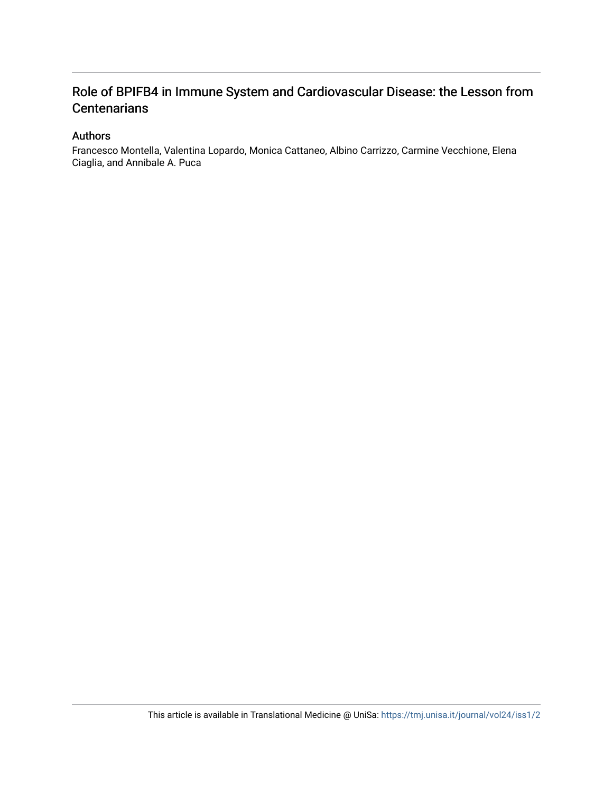# Role of BPIFB4 in Immune System and Cardiovascular Disease: the Lesson from **Centenarians**

# Authors

Francesco Montella, Valentina Lopardo, Monica Cattaneo, Albino Carrizzo, Carmine Vecchione, Elena Ciaglia, and Annibale A. Puca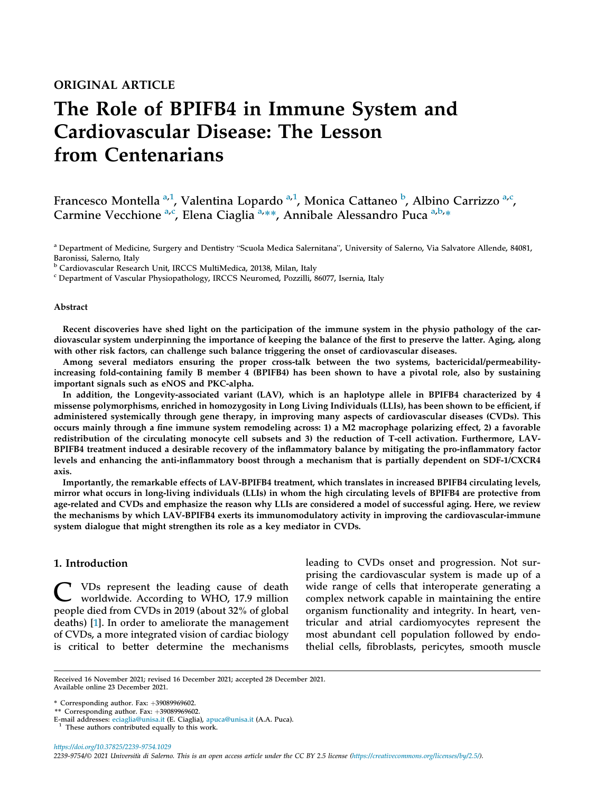# The Role of BPIFB4 in Immune System and Cardiovascular Disease: The Lesson from Centenarians

Francesco Montella <sup>[a,](#page-2-0)[1](#page-2-1)</sup>, V[a](#page-2-0)lentina Lopardo <sup>a[,1](#page-2-1)</sup>, Monica Cattaneo <sup>[b](#page-2-2)</sup>, Albino Carrizzo <sup>a,[c](#page-2-3)</sup>, C[a](#page-2-0)rmine Vecchione <sup>a[,c](#page-2-3)</sup>, Elena Ciaglia<sup>[a,](#page-2-0)\*\*</sup>, Annibale Alessandro Puca <sup>a[,b](#page-2-2),\*</sup>

<span id="page-2-0"></span><sup>a</sup> Department of Medicine, Surgery and Dentistry "Scuola Medica Salernitana", University of Salerno, Via Salvatore Allende, 84081, Baronissi, Salerno, Italy

<span id="page-2-2"></span><sup>b</sup> Cardiovascular Research Unit, IRCCS MultiMedica, 20138, Milan, Italy

<span id="page-2-3"></span><sup>c</sup> Department of Vascular Physiopathology, IRCCS Neuromed, Pozzilli, 86077, Isernia, Italy

#### Abstract

Recent discoveries have shed light on the participation of the immune system in the physio pathology of the cardiovascular system underpinning the importance of keeping the balance of the first to preserve the latter. Aging, along with other risk factors, can challenge such balance triggering the onset of cardiovascular diseases.

Among several mediators ensuring the proper cross-talk between the two systems, bactericidal/permeabilityincreasing fold-containing family B member 4 (BPIFB4) has been shown to have a pivotal role, also by sustaining important signals such as eNOS and PKC-alpha.

In addition, the Longevity-associated variant (LAV), which is an haplotype allele in BPIFB4 characterized by 4 missense polymorphisms, enriched in homozygosity in Long Living Individuals (LLIs), has been shown to be efficient, if administered systemically through gene therapy, in improving many aspects of cardiovascular diseases (CVDs). This occurs mainly through a fine immune system remodeling across: 1) a M2 macrophage polarizing effect, 2) a favorable redistribution of the circulating monocyte cell subsets and 3) the reduction of T-cell activation. Furthermore, LAV-BPIFB4 treatment induced a desirable recovery of the inflammatory balance by mitigating the pro-inflammatory factor levels and enhancing the anti-inflammatory boost through a mechanism that is partially dependent on SDF-1/CXCR4 axis.

Importantly, the remarkable effects of LAV-BPIFB4 treatment, which translates in increased BPIFB4 circulating levels, mirror what occurs in long-living individuals (LLIs) in whom the high circulating levels of BPIFB4 are protective from age-related and CVDs and emphasize the reason why LLIs are considered a model of successful aging. Here, we review the mechanisms by which LAV-BPIFB4 exerts its immunomodulatory activity in improving the cardiovascular-immune system dialogue that might strengthen its role as a key mediator in CVDs.

### 1. Introduction

C VDs represent the leading cause of death worldwide. According to WHO, 17.9 million people died from CVDs in 2019 (about 32% of global deaths) [[1\]](#page-11-0). In order to ameliorate the management of CVDs, a more integrated vision of cardiac biology is critical to better determine the mechanisms

leading to CVDs onset and progression. Not surprising the cardiovascular system is made up of a wide range of cells that interoperate generating a complex network capable in maintaining the entire organism functionality and integrity. In heart, ventricular and atrial cardiomyocytes represent the most abundant cell population followed by endothelial cells, fibroblasts, pericytes, smooth muscle

Received 16 November 2021; revised 16 December 2021; accepted 28 December 2021. Available online 23 December 2021.

<sup>\*</sup> Corresponding author. Fax:  $+39089969602$ .

<sup>\*\*</sup> Corresponding author. Fax:  $+39089969602$ .

E-mail addresses: [eciaglia@unisa.it](mailto:eciaglia@unisa.it) (E. Ciaglia), [apuca@unisa.it](mailto:apuca@unisa.it) (A.A. Puca). <sup>1</sup> These authors contributed equally to this work.

<span id="page-2-1"></span>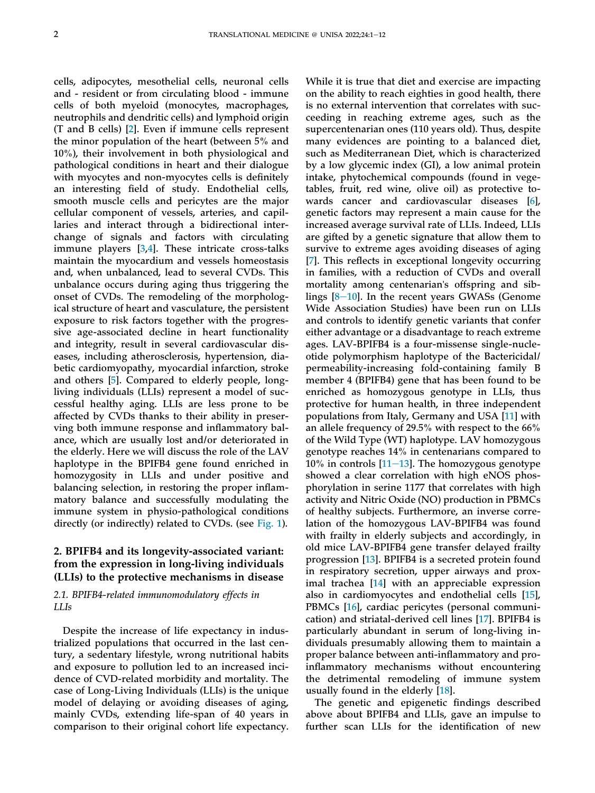cells, adipocytes, mesothelial cells, neuronal cells and - resident or from circulating blood - immune cells of both myeloid (monocytes, macrophages, neutrophils and dendritic cells) and lymphoid origin (T and B cells) [[2\]](#page-11-1). Even if immune cells represent the minor population of the heart (between 5% and 10%), their involvement in both physiological and pathological conditions in heart and their dialogue with myocytes and non-myocytes cells is definitely an interesting field of study. Endothelial cells, smooth muscle cells and pericytes are the major cellular component of vessels, arteries, and capillaries and interact through a bidirectional interchange of signals and factors with circulating immune players [[3,](#page-11-2)[4](#page-11-3)]. These intricate cross-talks maintain the myocardium and vessels homeostasis and, when unbalanced, lead to several CVDs. This unbalance occurs during aging thus triggering the onset of CVDs. The remodeling of the morphological structure of heart and vasculature, the persistent exposure to risk factors together with the progressive age-associated decline in heart functionality and integrity, result in several cardiovascular diseases, including atherosclerosis, hypertension, diabetic cardiomyopathy, myocardial infarction, stroke and others [\[5](#page-11-4)]. Compared to elderly people, longliving individuals (LLIs) represent a model of successful healthy aging. LLIs are less prone to be affected by CVDs thanks to their ability in preserving both immune response and inflammatory balance, which are usually lost and/or deteriorated in the elderly. Here we will discuss the role of the LAV haplotype in the BPIFB4 gene found enriched in homozygosity in LLIs and under positive and balancing selection, in restoring the proper inflammatory balance and successfully modulating the immune system in physio-pathological conditions directly (or indirectly) related to CVDs. (see [Fig. 1](#page-10-0)).

# 2. BPIFB4 and its longevity-associated variant: from the expression in long-living individuals (LLIs) to the protective mechanisms in disease

### 2.1. BPIFB4-related immunomodulatory effects in LLIs

Despite the increase of life expectancy in industrialized populations that occurred in the last century, a sedentary lifestyle, wrong nutritional habits and exposure to pollution led to an increased incidence of CVD-related morbidity and mortality. The case of Long-Living Individuals (LLIs) is the unique model of delaying or avoiding diseases of aging, mainly CVDs, extending life-span of 40 years in comparison to their original cohort life expectancy.

While it is true that diet and exercise are impacting on the ability to reach eighties in good health, there is no external intervention that correlates with succeeding in reaching extreme ages, such as the supercentenarian ones (110 years old). Thus, despite many evidences are pointing to a balanced diet, such as Mediterranean Diet, which is characterized by a low glycemic index (GI), a low animal protein intake, phytochemical compounds (found in vegetables, fruit, red wine, olive oil) as protective towards cancer and cardiovascular diseases [[6\]](#page-11-5), genetic factors may represent a main cause for the increased average survival rate of LLIs. Indeed, LLIs are gifted by a genetic signature that allow them to survive to extreme ages avoiding diseases of aging [\[7](#page-11-6)]. This reflects in exceptional longevity occurring in families, with a reduction of CVDs and overall mortality among centenarian's offspring and siblings  $[8-10]$  $[8-10]$  $[8-10]$ . In the recent years GWASs (Genome Wide Association Studies) have been run on LLIs and controls to identify genetic variants that confer either advantage or a disadvantage to reach extreme ages. LAV-BPIFB4 is a four-missense single-nucleotide polymorphism haplotype of the Bactericidal/ permeability-increasing fold-containing family B member 4 (BPIFB4) gene that has been found to be enriched as homozygous genotype in LLIs, thus protective for human health, in three independent populations from Italy, Germany and USA [\[11](#page-11-8)] with an allele frequency of 29.5% with respect to the 66% of the Wild Type (WT) haplotype. LAV homozygous genotype reaches 14% in centenarians compared to 10% in controls  $[11-13]$  $[11-13]$  $[11-13]$ . The homozygous genotype showed a clear correlation with high eNOS phosphorylation in serine 1177 that correlates with high activity and Nitric Oxide (NO) production in PBMCs of healthy subjects. Furthermore, an inverse correlation of the homozygous LAV-BPIFB4 was found with frailty in elderly subjects and accordingly, in old mice LAV-BPIFB4 gene transfer delayed frailty progression [[13\]](#page-11-9). BPIFB4 is a secreted protein found in respiratory secretion, upper airways and proximal trachea [[14\]](#page-11-10) with an appreciable expression also in cardiomyocytes and endothelial cells [[15\]](#page-11-11), PBMCs [\[16](#page-11-12)], cardiac pericytes (personal communication) and striatal-derived cell lines [\[17](#page-11-13)]. BPIFB4 is particularly abundant in serum of long-living individuals presumably allowing them to maintain a proper balance between anti-inflammatory and proinflammatory mechanisms without encountering the detrimental remodeling of immune system usually found in the elderly [\[18](#page-11-14)].

The genetic and epigenetic findings described above about BPIFB4 and LLIs, gave an impulse to further scan LLIs for the identification of new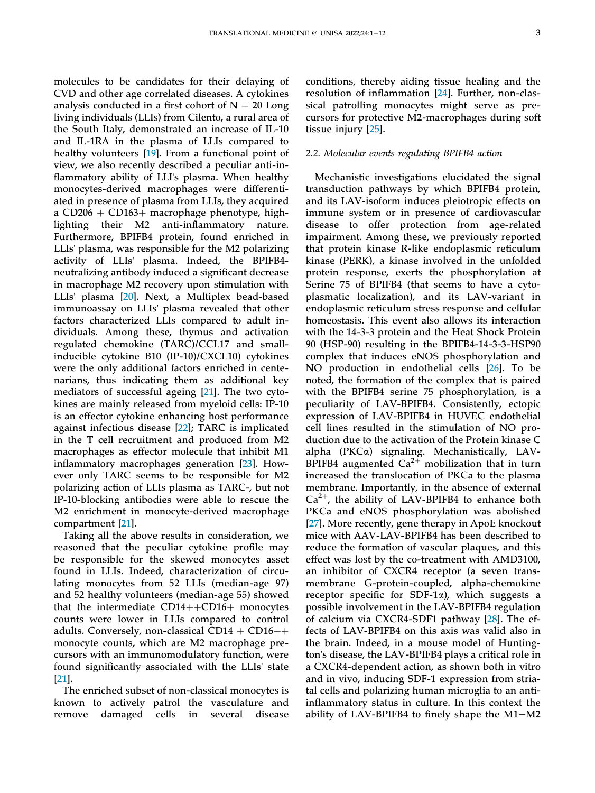molecules to be candidates for their delaying of CVD and other age correlated diseases. A cytokines analysis conducted in a first cohort of  $N = 20$  Long living individuals (LLIs) from Cilento, a rural area of the South Italy, demonstrated an increase of IL-10 and IL-1RA in the plasma of LLIs compared to healthy volunteers [\[19](#page-11-15)]. From a functional point of view, we also recently described a peculiar anti-inflammatory ability of LLI's plasma. When healthy monocytes-derived macrophages were differentiated in presence of plasma from LLIs, they acquired a  $CD206 + CD163 + macrophage$  phenotype, highlighting their M2 anti-inflammatory nature. Furthermore, BPIFB4 protein, found enriched in LLIs' plasma, was responsible for the M2 polarizing activity of LLIs' plasma. Indeed, the BPIFB4 neutralizing antibody induced a significant decrease in macrophage M2 recovery upon stimulation with LLIs' plasma [[20\]](#page-11-16). Next, a Multiplex bead-based immunoassay on LLIs' plasma revealed that other factors characterized LLIs compared to adult individuals. Among these, thymus and activation regulated chemokine (TARC)/CCL17 and smallinducible cytokine B10 (IP-10)/CXCL10) cytokines were the only additional factors enriched in centenarians, thus indicating them as additional key mediators of successful ageing [\[21](#page-11-17)]. The two cytokines are mainly released from myeloid cells: IP-10 is an effector cytokine enhancing host performance against infectious disease [\[22](#page-11-18)]; TARC is implicated in the T cell recruitment and produced from M2 macrophages as effector molecule that inhibit M1 inflammatory macrophages generation [[23\]](#page-11-19). However only TARC seems to be responsible for M2 polarizing action of LLIs plasma as TARC-, but not IP-10-blocking antibodies were able to rescue the M2 enrichment in monocyte-derived macrophage compartment [\[21](#page-11-17)].

Taking all the above results in consideration, we reasoned that the peculiar cytokine profile may be responsible for the skewed monocytes asset found in LLIs. Indeed, characterization of circulating monocytes from 52 LLIs (median-age 97) and 52 healthy volunteers (median-age 55) showed that the intermediate  $CD14++CD16+$  monocytes counts were lower in LLIs compared to control adults. Conversely, non-classical  $CD14 + CD16++$ monocyte counts, which are M2 macrophage precursors with an immunomodulatory function, were found significantly associated with the LLIs' state [\[21](#page-11-17)].

The enriched subset of non-classical monocytes is known to actively patrol the vasculature and remove damaged cells in several disease conditions, thereby aiding tissue healing and the resolution of inflammation [[24](#page-11-20)]. Further, non-classical patrolling monocytes might serve as precursors for protective M2-macrophages during soft tissue injury [[25](#page-11-21)].

#### 2.2. Molecular events regulating BPIFB4 action

Mechanistic investigations elucidated the signal transduction pathways by which BPIFB4 protein, and its LAV-isoform induces pleiotropic effects on immune system or in presence of cardiovascular disease to offer protection from age-related impairment. Among these, we previously reported that protein kinase R-like endoplasmic reticulum kinase (PERK), a kinase involved in the unfolded protein response, exerts the phosphorylation at Serine 75 of BPIFB4 (that seems to have a cytoplasmatic localization), and its LAV-variant in endoplasmic reticulum stress response and cellular homeostasis. This event also allows its interaction with the 14-3-3 protein and the Heat Shock Protein 90 (HSP-90) resulting in the BPIFB4-14-3-3-HSP90 complex that induces eNOS phosphorylation and NO production in endothelial cells [[26\]](#page-11-22). To be noted, the formation of the complex that is paired with the BPIFB4 serine 75 phosphorylation, is a peculiarity of LAV-BPIFB4. Consistently, ectopic expression of LAV-BPIFB4 in HUVEC endothelial cell lines resulted in the stimulation of NO production due to the activation of the Protein kinase C alpha (PKCa) signaling. Mechanistically, LAV-BPIFB4 augmented  $Ca^{2+}$  mobilization that in turn increased the translocation of PKCa to the plasma membrane. Importantly, in the absence of external  $Ca<sup>2+</sup>$ , the ability of LAV-BPIFB4 to enhance both PKCa and eNOS phosphorylation was abolished [\[27\]](#page-11-23). More recently, gene therapy in ApoE knockout mice with AAV-LAV-BPIFB4 has been described to reduce the formation of vascular plaques, and this effect was lost by the co-treatment with AMD3100, an inhibitor of CXCR4 receptor (a seven transmembrane G-protein-coupled, alpha-chemokine receptor specific for SDF-1a), which suggests a possible involvement in the LAV-BPIFB4 regulation of calcium via CXCR4-SDF1 pathway [[28\]](#page-12-0). The effects of LAV-BPIFB4 on this axis was valid also in the brain. Indeed, in a mouse model of Huntington's disease, the LAV-BPIFB4 plays a critical role in a CXCR4-dependent action, as shown both in vitro and in vivo, inducing SDF-1 expression from striatal cells and polarizing human microglia to an antiinflammatory status in culture. In this context the ability of LAV-BPIFB4 to finely shape the  $M1-M2$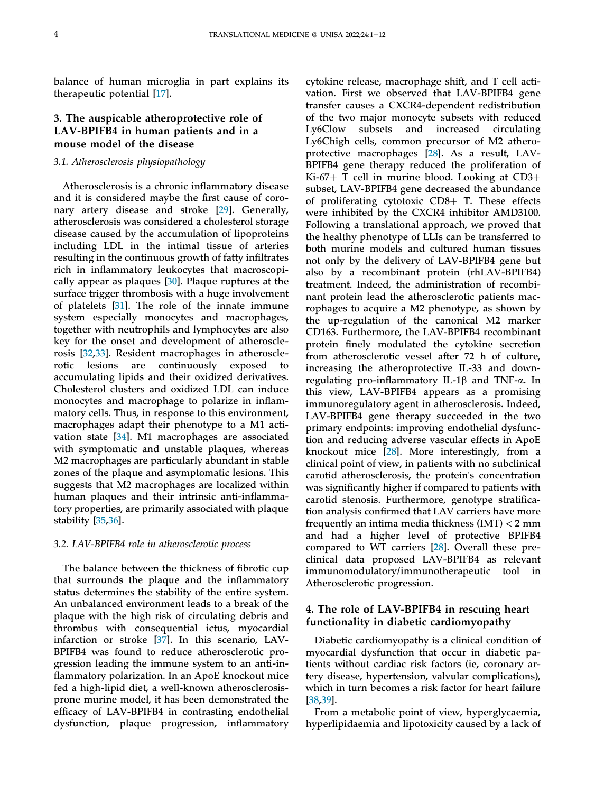balance of human microglia in part explains its therapeutic potential [\[17](#page-11-13)].

# 3. The auspicable atheroprotective role of LAV-BPIFB4 in human patients and in a mouse model of the disease

## 3.1. Atherosclerosis physiopathology

Atherosclerosis is a chronic inflammatory disease and it is considered maybe the first cause of coronary artery disease and stroke [[29\]](#page-12-1). Generally, atherosclerosis was considered a cholesterol storage disease caused by the accumulation of lipoproteins including LDL in the intimal tissue of arteries resulting in the continuous growth of fatty infiltrates rich in inflammatory leukocytes that macroscopically appear as plaques [\[30](#page-12-2)]. Plaque ruptures at the surface trigger thrombosis with a huge involvement of platelets [\[31](#page-12-3)]. The role of the innate immune system especially monocytes and macrophages, together with neutrophils and lymphocytes are also key for the onset and development of atherosclerosis [\[32](#page-12-4),[33\]](#page-12-5). Resident macrophages in atherosclerotic lesions are continuously exposed to accumulating lipids and their oxidized derivatives. Cholesterol clusters and oxidized LDL can induce monocytes and macrophage to polarize in inflammatory cells. Thus, in response to this environment, macrophages adapt their phenotype to a M1 activation state [[34\]](#page-12-6). M1 macrophages are associated with symptomatic and unstable plaques, whereas M2 macrophages are particularly abundant in stable zones of the plaque and asymptomatic lesions. This suggests that M2 macrophages are localized within human plaques and their intrinsic anti-inflammatory properties, are primarily associated with plaque stability [\[35](#page-12-7),[36\]](#page-12-8).

#### 3.2. LAV-BPIFB4 role in atherosclerotic process

The balance between the thickness of fibrotic cup that surrounds the plaque and the inflammatory status determines the stability of the entire system. An unbalanced environment leads to a break of the plaque with the high risk of circulating debris and thrombus with consequential ictus, myocardial infarction or stroke [\[37](#page-12-9)]. In this scenario, LAV-BPIFB4 was found to reduce atherosclerotic progression leading the immune system to an anti-inflammatory polarization. In an ApoE knockout mice fed a high-lipid diet, a well-known atherosclerosisprone murine model, it has been demonstrated the efficacy of LAV-BPIFB4 in contrasting endothelial dysfunction, plaque progression, inflammatory

cytokine release, macrophage shift, and T cell activation. First we observed that LAV-BPIFB4 gene transfer causes a CXCR4-dependent redistribution of the two major monocyte subsets with reduced Ly6Clow subsets and increased circulating Ly6Chigh cells, common precursor of M2 atheroprotective macrophages [[28\]](#page-12-0). As a result, LAV-BPIFB4 gene therapy reduced the proliferation of Ki-67+ T cell in murine blood. Looking at  $CD3+$ subset, LAV-BPIFB4 gene decreased the abundance of proliferating cytotoxic  $CD8+$  T. These effects were inhibited by the CXCR4 inhibitor AMD3100. Following a translational approach, we proved that the healthy phenotype of LLIs can be transferred to both murine models and cultured human tissues not only by the delivery of LAV-BPIFB4 gene but also by a recombinant protein (rhLAV-BPIFB4) treatment. Indeed, the administration of recombinant protein lead the atherosclerotic patients macrophages to acquire a M2 phenotype, as shown by the up-regulation of the canonical M2 marker CD163. Furthermore, the LAV-BPIFB4 recombinant protein finely modulated the cytokine secretion from atherosclerotic vessel after 72 h of culture, increasing the atheroprotective IL-33 and downregulating pro-inflammatory IL-1 $\beta$  and TNF- $\alpha$ . In this view, LAV-BPIFB4 appears as a promising immunoregulatory agent in atherosclerosis. Indeed, LAV-BPIFB4 gene therapy succeeded in the two primary endpoints: improving endothelial dysfunction and reducing adverse vascular effects in ApoE knockout mice [[28\]](#page-12-0). More interestingly, from a clinical point of view, in patients with no subclinical carotid atherosclerosis, the protein's concentration was significantly higher if compared to patients with carotid stenosis. Furthermore, genotype stratification analysis confirmed that LAV carriers have more frequently an intima media thickness (IMT) < 2 mm and had a higher level of protective BPIFB4 compared to WT carriers [\[28](#page-12-0)]. Overall these preclinical data proposed LAV-BPIFB4 as relevant immunomodulatory/immunotherapeutic tool in Atherosclerotic progression.

# 4. The role of LAV-BPIFB4 in rescuing heart functionality in diabetic cardiomyopathy

Diabetic cardiomyopathy is a clinical condition of myocardial dysfunction that occur in diabetic patients without cardiac risk factors (ie, coronary artery disease, hypertension, valvular complications), which in turn becomes a risk factor for heart failure [\[38](#page-12-10),[39\]](#page-12-11).

From a metabolic point of view, hyperglycaemia, hyperlipidaemia and lipotoxicity caused by a lack of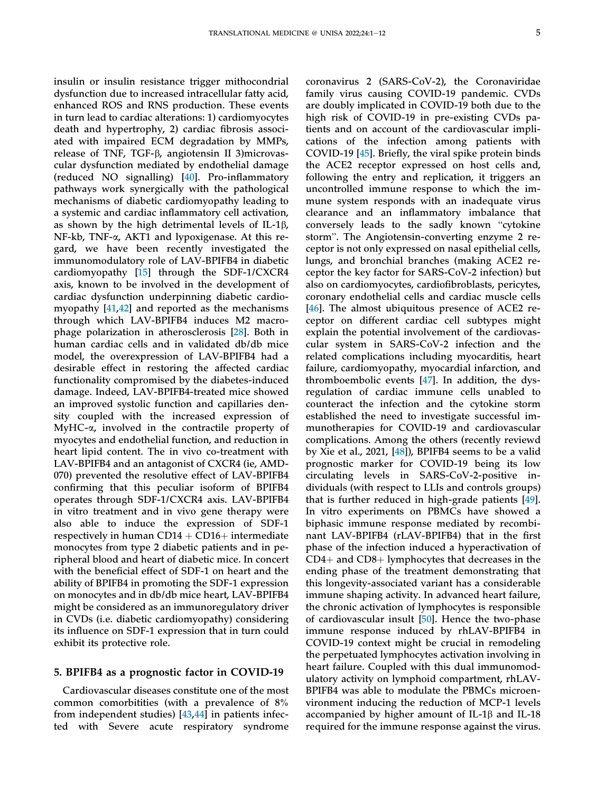insulin or insulin resistance trigger mithocondrial dysfunction due to increased intracellular fatty acid, enhanced ROS and RNS production. These events in turn lead to cardiac alterations: 1) cardiomyocytes death and hypertrophy, 2) cardiac fibrosis associated with impaired ECM degradation by MMPs, release of TNF, TGF-b, angiotensin II 3)microvascular dysfunction mediated by endothelial damage (reduced NO signalling) [[40\]](#page-12-12). Pro-inflammatory pathways work synergically with the pathological mechanisms of diabetic cardiomyopathy leading to a systemic and cardiac inflammatory cell activation, as shown by the high detrimental levels of IL-1 $\beta$ , NF-kb, TNF-a, AKT1 and lypoxigenase. At this regard, we have been recently investigated the immunomodulatory role of LAV-BPIFB4 in diabetic cardiomyopathy [\[15](#page-11-11)] through the SDF-1/CXCR4 axis, known to be involved in the development of cardiac dysfunction underpinning diabetic cardiomyopathy [[41,](#page-12-13)[42](#page-12-14)] and reported as the mechanisms through which LAV-BPIFB4 induces M2 macrophage polarization in atherosclerosis [\[28](#page-12-0)]. Both in human cardiac cells and in validated db/db mice model, the overexpression of LAV-BPIFB4 had a desirable effect in restoring the affected cardiac functionality compromised by the diabetes-induced damage. Indeed, LAV-BPIFB4-treated mice showed an improved systolic function and capillaries density coupled with the increased expression of MyHC- $\alpha$ , involved in the contractile property of myocytes and endothelial function, and reduction in heart lipid content. The in vivo co-treatment with LAV-BPIFB4 and an antagonist of CXCR4 (ie, AMD-070) prevented the resolutive effect of LAV-BPIFB4 confirming that this peculiar isoform of BPIFB4 operates through SDF-1/CXCR4 axis. LAV-BPIFB4 in vitro treatment and in vivo gene therapy were also able to induce the expression of SDF-1 respectively in human  $CD14 + CD16 +$  intermediate monocytes from type 2 diabetic patients and in peripheral blood and heart of diabetic mice. In concert with the beneficial effect of SDF-1 on heart and the ability of BPIFB4 in promoting the SDF-1 expression on monocytes and in db/db mice heart, LAV-BPIFB4 might be considered as an immunoregulatory driver in CVDs (i.e. diabetic cardiomyopathy) considering its influence on SDF-1 expression that in turn could exhibit its protective role.

#### 5. BPIFB4 as a prognostic factor in COVID-19

Cardiovascular diseases constitute one of the most common comorbitities (with a prevalence of 8% from independent studies) [\[43](#page-12-15),[44\]](#page-12-16) in patients infected with Severe acute respiratory syndrome coronavirus 2 (SARS-CoV-2), the Coronaviridae family virus causing COVID-19 pandemic. CVDs are doubly implicated in COVID-19 both due to the high risk of COVID-19 in pre-existing CVDs patients and on account of the cardiovascular implications of the infection among patients with COVID-19 [\[45](#page-12-17)]. Briefly, the viral spike protein binds the ACE2 receptor expressed on host cells and, following the entry and replication, it triggers an uncontrolled immune response to which the immune system responds with an inadequate virus clearance and an inflammatory imbalance that mune system responds whil an inadequate virus<br>clearance and an inflammatory imbalance that<br>conversely leads to the sadly known "cytokine clearance and an initial<br>millimatory modiation conversely leads to the sadly known "cytokine<br>storm". The Angiotensin-converting enzyme 2 receptor is not only expressed on nasal epithelial cells, lungs, and bronchial branches (making ACE2 receptor the key factor for SARS-CoV-2 infection) but also on cardiomyocytes, cardiofibroblasts, pericytes, coronary endothelial cells and cardiac muscle cells [\[46](#page-12-18)]. The almost ubiquitous presence of ACE2 receptor on different cardiac cell subtypes might explain the potential involvement of the cardiovascular system in SARS-CoV-2 infection and the related complications including myocarditis, heart failure, cardiomyopathy, myocardial infarction, and thromboembolic events [\[47](#page-12-19)]. In addition, the dysregulation of cardiac immune cells unabled to counteract the infection and the cytokine storm established the need to investigate successful immunotherapies for COVID-19 and cardiovascular complications. Among the others (recently reviewd by Xie et al., 2021, [\[48](#page-12-20)]), BPIFB4 seems to be a valid prognostic marker for COVID-19 being its low circulating levels in SARS-CoV-2-positive individuals (with respect to LLIs and controls groups) that is further reduced in high-grade patients [[49\]](#page-12-21). In vitro experiments on PBMCs have showed a biphasic immune response mediated by recombinant LAV-BPIFB4 (rLAV-BPIFB4) that in the first phase of the infection induced a hyperactivation of  $CD4+$  and  $CD8+$  lymphocytes that decreases in the ending phase of the treatment demonstrating that this longevity-associated variant has a considerable immune shaping activity. In advanced heart failure, the chronic activation of lymphocytes is responsible of cardiovascular insult [\[50](#page-12-22)]. Hence the two-phase immune response induced by rhLAV-BPIFB4 in COVID-19 context might be crucial in remodeling the perpetuated lymphocytes activation involving in heart failure. Coupled with this dual immunomodulatory activity on lymphoid compartment, rhLAV-BPIFB4 was able to modulate the PBMCs microenvironment inducing the reduction of MCP-1 levels accompanied by higher amount of IL-1 $\beta$  and IL-18 required for the immune response against the virus.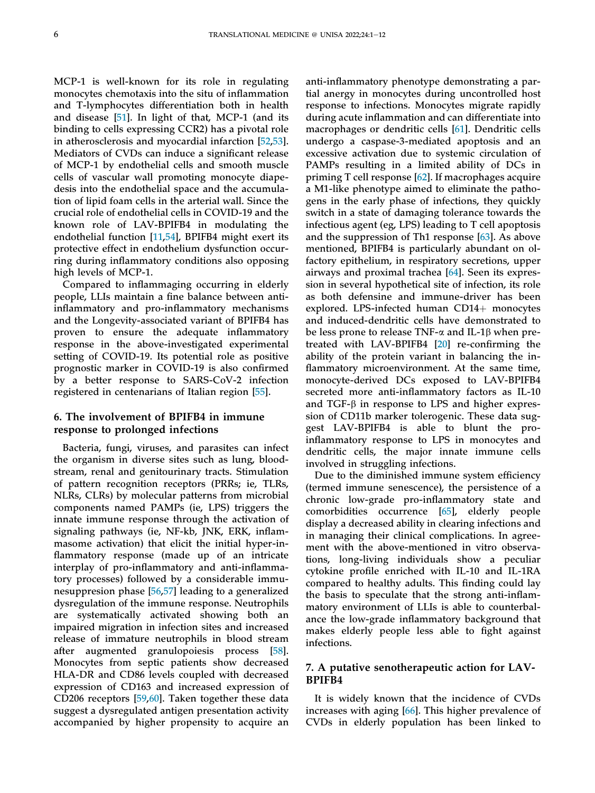MCP-1 is well-known for its role in regulating monocytes chemotaxis into the situ of inflammation and T-lymphocytes differentiation both in health and disease [\[51](#page-12-23)]. In light of that, MCP-1 (and its binding to cells expressing CCR2) has a pivotal role in atherosclerosis and myocardial infarction [[52](#page-12-24)[,53](#page-12-25)]. Mediators of CVDs can induce a significant release of MCP-1 by endothelial cells and smooth muscle cells of vascular wall promoting monocyte diapedesis into the endothelial space and the accumulation of lipid foam cells in the arterial wall. Since the crucial role of endothelial cells in COVID-19 and the known role of LAV-BPIFB4 in modulating the endothelial function [\[11](#page-11-8),[54\]](#page-12-26), BPIFB4 might exert its protective effect in endothelium dysfunction occurring during inflammatory conditions also opposing high levels of MCP-1.

Compared to inflammaging occurring in elderly people, LLIs maintain a fine balance between antiinflammatory and pro-inflammatory mechanisms and the Longevity-associated variant of BPIFB4 has proven to ensure the adequate inflammatory response in the above-investigated experimental setting of COVID-19. Its potential role as positive prognostic marker in COVID-19 is also confirmed by a better response to SARS-CoV-2 infection registered in centenarians of Italian region [[55](#page-12-27)].

## 6. The involvement of BPIFB4 in immune response to prolonged infections

Bacteria, fungi, viruses, and parasites can infect the organism in diverse sites such as lung, bloodstream, renal and genitourinary tracts. Stimulation of pattern recognition receptors (PRRs; ie, TLRs, NLRs, CLRs) by molecular patterns from microbial components named PAMPs (ie, LPS) triggers the innate immune response through the activation of signaling pathways (ie, NF-kb, JNK, ERK, inflammasome activation) that elicit the initial hyper-inflammatory response (made up of an intricate interplay of pro-inflammatory and anti-inflammatory processes) followed by a considerable immunesuppresion phase [\[56](#page-12-28),[57\]](#page-12-29) leading to a generalized dysregulation of the immune response. Neutrophils are systematically activated showing both an impaired migration in infection sites and increased release of immature neutrophils in blood stream after augmented granulopoiesis process [\[58](#page-12-30)]. Monocytes from septic patients show decreased HLA-DR and CD86 levels coupled with decreased expression of CD163 and increased expression of CD206 receptors [[59](#page-12-31)[,60](#page-12-32)]. Taken together these data suggest a dysregulated antigen presentation activity accompanied by higher propensity to acquire an

anti-inflammatory phenotype demonstrating a partial anergy in monocytes during uncontrolled host response to infections. Monocytes migrate rapidly during acute inflammation and can differentiate into macrophages or dendritic cells [\[61](#page-13-0)]. Dendritic cells undergo a caspase-3-mediated apoptosis and an excessive activation due to systemic circulation of PAMPs resulting in a limited ability of DCs in priming T cell response [[62\]](#page-13-1). If macrophages acquire a M1-like phenotype aimed to eliminate the pathogens in the early phase of infections, they quickly switch in a state of damaging tolerance towards the infectious agent (eg, LPS) leading to T cell apoptosis and the suppression of Th1 response [[63\]](#page-13-2). As above mentioned, BPIFB4 is particularly abundant on olfactory epithelium, in respiratory secretions, upper airways and proximal trachea [\[64](#page-13-3)]. Seen its expression in several hypothetical site of infection, its role as both defensine and immune-driver has been explored. LPS-infected human  $CD14+$  monocytes and induced-dendritic cells have demonstrated to be less prone to release TNF- $\alpha$  and IL-1 $\beta$  when pretreated with LAV-BPIFB4 [[20\]](#page-11-16) re-confirming the ability of the protein variant in balancing the inflammatory microenvironment. At the same time, monocyte-derived DCs exposed to LAV-BPIFB4 secreted more anti-inflammatory factors as IL-10 and TGF- $\beta$  in response to LPS and higher expression of CD11b marker tolerogenic. These data suggest LAV-BPIFB4 is able to blunt the proinflammatory response to LPS in monocytes and dendritic cells, the major innate immune cells involved in struggling infections.

Due to the diminished immune system efficiency (termed immune senescence), the persistence of a chronic low-grade pro-inflammatory state and comorbidities occurrence [\[65](#page-13-4)], elderly people display a decreased ability in clearing infections and in managing their clinical complications. In agreement with the above-mentioned in vitro observations, long-living individuals show a peculiar cytokine profile enriched with IL-10 and IL-1RA compared to healthy adults. This finding could lay the basis to speculate that the strong anti-inflammatory environment of LLIs is able to counterbalance the low-grade inflammatory background that makes elderly people less able to fight against infections.

### 7. A putative senotherapeutic action for LAV-BPIFB4

It is widely known that the incidence of CVDs increases with aging [[66\]](#page-13-5). This higher prevalence of CVDs in elderly population has been linked to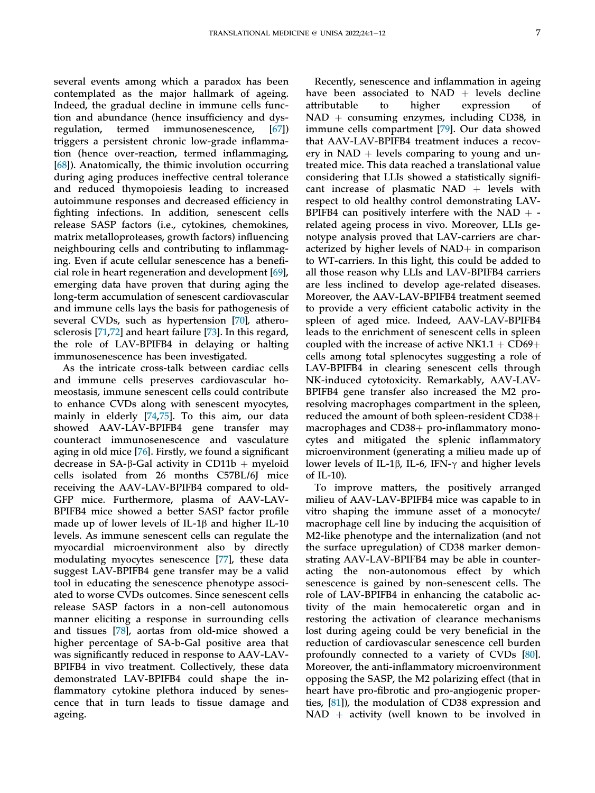several events among which a paradox has been contemplated as the major hallmark of ageing. Indeed, the gradual decline in immune cells function and abundance (hence insufficiency and dysregulation, termed immunosenescence, [[67\]](#page-13-6)) triggers a persistent chronic low-grade inflammation (hence over-reaction, termed inflammaging, [\[68](#page-13-7)]). Anatomically, the thimic involution occurring during aging produces ineffective central tolerance and reduced thymopoiesis leading to increased autoimmune responses and decreased efficiency in fighting infections. In addition, senescent cells release SASP factors (i.e., cytokines, chemokines, matrix metalloproteases, growth factors) influencing neighbouring cells and contributing to inflammaging. Even if acute cellular senescence has a beneficial role in heart regeneration and development [\[69](#page-13-8)], emerging data have proven that during aging the long-term accumulation of senescent cardiovascular and immune cells lays the basis for pathogenesis of several CVDs, such as hypertension [\[70](#page-13-9)], atherosclerosis [[71](#page-13-10)[,72](#page-13-11)] and heart failure [\[73](#page-13-12)]. In this regard, the role of LAV-BPIFB4 in delaying or halting immunosenescence has been investigated.

As the intricate cross-talk between cardiac cells and immune cells preserves cardiovascular homeostasis, immune senescent cells could contribute to enhance CVDs along with senescent myocytes, mainly in elderly [\[74](#page-13-13),[75\]](#page-13-14). To this aim, our data showed AAV-LAV-BPIFB4 gene transfer may counteract immunosenescence and vasculature aging in old mice [[76\]](#page-13-15). Firstly, we found a significant decrease in SA- $\beta$ -Gal activity in CD11b + myeloid cells isolated from 26 months C57BL/6J mice receiving the AAV-LAV-BPIFB4 compared to old-GFP mice. Furthermore, plasma of AAV-LAV-BPIFB4 mice showed a better SASP factor profile made up of lower levels of IL-1 $\beta$  and higher IL-10 levels. As immune senescent cells can regulate the myocardial microenvironment also by directly modulating myocytes senescence [[77\]](#page-13-16), these data suggest LAV-BPIFB4 gene transfer may be a valid tool in educating the senescence phenotype associated to worse CVDs outcomes. Since senescent cells release SASP factors in a non-cell autonomous manner eliciting a response in surrounding cells and tissues [[78\]](#page-13-17), aortas from old-mice showed a higher percentage of SA-b-Gal positive area that was significantly reduced in response to AAV-LAV-BPIFB4 in vivo treatment. Collectively, these data demonstrated LAV-BPIFB4 could shape the inflammatory cytokine plethora induced by senescence that in turn leads to tissue damage and ageing.

Recently, senescence and inflammation in ageing have been associated to  $NAD +$  levels decline attributable to higher expression of attributable  $NAD + \text{consuming enzymes}, \text{ including CD38}, \text{ in}$ immune cells compartment [[79\]](#page-13-18). Our data showed that AAV-LAV-BPIFB4 treatment induces a recovery in NAD  $+$  levels comparing to young and untreated mice. This data reached a translational value considering that LLIs showed a statistically significant increase of plasmatic NAD  $+$  levels with respect to old healthy control demonstrating LAV-BPIFB4 can positively interfere with the NAD  $+$  related ageing process in vivo. Moreover, LLIs genotype analysis proved that LAV-carriers are characterized by higher levels of  $NAD+$  in comparison to WT-carriers. In this light, this could be added to all those reason why LLIs and LAV-BPIFB4 carriers are less inclined to develop age-related diseases. Moreover, the AAV-LAV-BPIFB4 treatment seemed to provide a very efficient catabolic activity in the spleen of aged mice. Indeed, AAV-LAV-BPIFB4 leads to the enrichment of senescent cells in spleen coupled with the increase of active NK1.1 +  $CD69+$ cells among total splenocytes suggesting a role of LAV-BPIFB4 in clearing senescent cells through NK-induced cytotoxicity. Remarkably, AAV-LAV-BPIFB4 gene transfer also increased the M2 proresolving macrophages compartment in the spleen, reduced the amount of both spleen-resident CD38+ macrophages and  $CD38+$  pro-inflammatory monocytes and mitigated the splenic inflammatory microenvironment (generating a milieu made up of lower levels of IL-1 $\beta$ , IL-6, IFN- $\gamma$  and higher levels of IL-10).

To improve matters, the positively arranged milieu of AAV-LAV-BPIFB4 mice was capable to in vitro shaping the immune asset of a monocyte/ macrophage cell line by inducing the acquisition of M2-like phenotype and the internalization (and not the surface upregulation) of CD38 marker demonstrating AAV-LAV-BPIFB4 may be able in counteracting the non-autonomous effect by which senescence is gained by non-senescent cells. The role of LAV-BPIFB4 in enhancing the catabolic activity of the main hemocateretic organ and in restoring the activation of clearance mechanisms lost during ageing could be very beneficial in the reduction of cardiovascular senescence cell burden profoundly connected to a variety of CVDs [[80\]](#page-13-19). Moreover, the anti-inflammatory microenvironment opposing the SASP, the M2 polarizing effect (that in heart have pro-fibrotic and pro-angiogenic properties, [[81\]](#page-13-20)), the modulation of CD38 expression and  $NAD$  + activity (well known to be involved in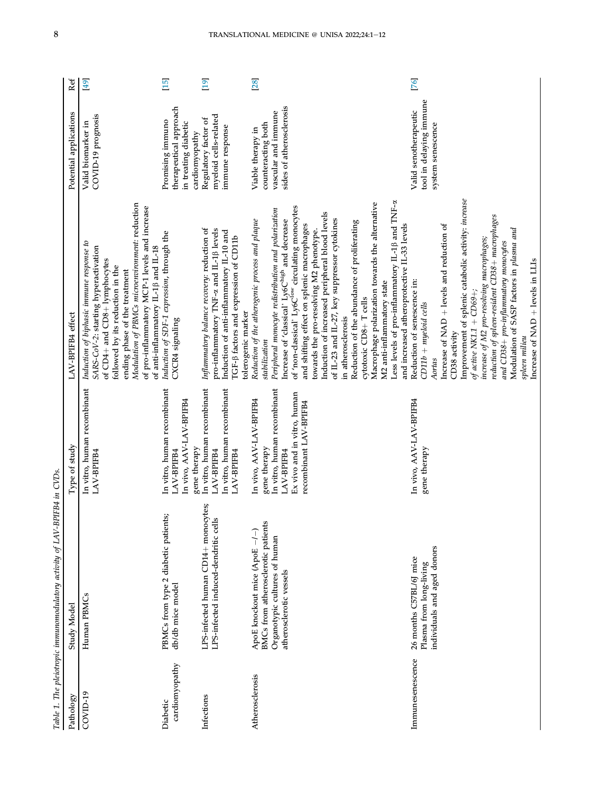<span id="page-9-0"></span>

|                            | Table 1. The pleiotropic immunomodulatory activity of LAV-BPIFB4 in CVDs                                                        |                                                                                                                                               |                                                                                                                                                                                                                                                                                                                                                                                                                                                                                                                                                                                                                                                                                                                                  |                                                                                           |      |
|----------------------------|---------------------------------------------------------------------------------------------------------------------------------|-----------------------------------------------------------------------------------------------------------------------------------------------|----------------------------------------------------------------------------------------------------------------------------------------------------------------------------------------------------------------------------------------------------------------------------------------------------------------------------------------------------------------------------------------------------------------------------------------------------------------------------------------------------------------------------------------------------------------------------------------------------------------------------------------------------------------------------------------------------------------------------------|-------------------------------------------------------------------------------------------|------|
| Pathology                  | Study Model                                                                                                                     | Type of study                                                                                                                                 | LAV-BPIFB4 effect                                                                                                                                                                                                                                                                                                                                                                                                                                                                                                                                                                                                                                                                                                                | Potential applications                                                                    | Ref  |
| COVID-19                   | Human PBMCs                                                                                                                     | In vitro, human recombinant<br>LAV-BPIFB4                                                                                                     | Modulation of PBMCs microenvironment: reduction<br>of pro-inflammatory MCP-1 levels and increase<br>Induction of biphasic immune response to<br>of anti-inflammatory IL-1 <sub>0</sub> and IL-18<br>SARS-CoV-2: starting hyperactivation<br>of CD4+ and CD8+ lymphocytes<br>followed by its reduction in the<br>ending phase of the treatment                                                                                                                                                                                                                                                                                                                                                                                    | COVID-19 prognosis<br>Valid biomarker in                                                  | [49] |
| cardiomyopathy<br>Diabetic | PBMCs from type 2 diabetic patients;<br>db/db mice model                                                                        | In vitro, human recombinant<br>In vivo, AAV-LAV-BPIFB4<br>gene therapy<br>LAV-BPIFB4                                                          | Induction of SDF-1 expression, through the<br>CXCR4 signaling                                                                                                                                                                                                                                                                                                                                                                                                                                                                                                                                                                                                                                                                    | therapeutical approach<br>Promising immuno<br>in treating diabetic<br>cardiomyopathy      | [15] |
| Infections                 | LPS-infected human CD14+ monocytes;<br>LPS-infected induced-dendritic cells                                                     | In vitro, human recombinant<br>In vitro, human recombinant<br>LAV-BPIFB4<br>LAV-BPIFB4                                                        | Inflammatory balance recovery: reduction of<br>pro-inflammatory TNF-a and IL-1ß levels<br>Induction of anti-inflammatory IL-10 and<br>TGF-ß factors and expression of CD11b<br>tolerogenic marker                                                                                                                                                                                                                                                                                                                                                                                                                                                                                                                                | myeloid cells-related<br>Regulatory factor of<br>immune response                          | [19] |
| Atherosclerosis            | BMCs from atherosclerotic patients<br>ApoE knockout mice (ApoE -/-)<br>Organotypic cultures of human<br>atherosclerotic vessels | In vitro, human recombinant<br>Ex vivo and in vitro, human<br>In vivo, AAV-LAV-BPIFB4<br>recombinant LAV-BPIFB4<br>gene therapy<br>LAV-BPIFB4 | Less levels of pro-inflammatory IL-1 <sub>8</sub> and TNF-a<br>Macrophage polarization towards the alternative<br>of 'non-classical' Ly6C <sup>low</sup> circulating monocytes<br>Peripheral monocyte redistribution and polarization<br>Induction of increased peripheral blood levels<br>of IL-23 and IL-27, key suppressor cytokines<br>Increase of 'classical' Ly6Chigh and decrease<br>Reduction of the atherogenic process and plaque<br>Reduction of the abundance of proliferating<br>and increased atheroprotective IL-33 levels<br>and shifting effect on splenic macrophages<br>towards the pro-resolving M2 phenotype.<br>M2 anti-inflammatory state<br>cytotoxic CD8+T cells<br>in atherosclerosis<br>stabilization | sides of atherosderosis<br>vascular and immune<br>counteracting both<br>Viable therapy in | [28] |
| Immunesenescence           | individuals and aged donors<br>26 months C57BL/6J mice<br>Plasma from long-living                                               | In vivo, AAV-LAV-BPIFB4<br>gene therapy                                                                                                       | Improvement of splenic catabolic activity: increase<br>reduction of spleen-resident CD38+ macrophages<br>Increase of $NAD +$ levels and reduction of<br>Modulation of SASP factors in plasma and<br>increase of M2 pro-resolving macrophages;<br>and CD38+ pro-inflammatory monocytes<br>Increase of NAD + levels in LLIs<br>Reduction of senescence in:<br>of active NK1.1 + $CD69+$ ;<br>$CD11b + myeloid cells$<br>CD38 activity<br>spleen milieu<br>Aortas                                                                                                                                                                                                                                                                   | tool in delaying immune<br>Valid senotherapeutic<br>system senescence                     | [76] |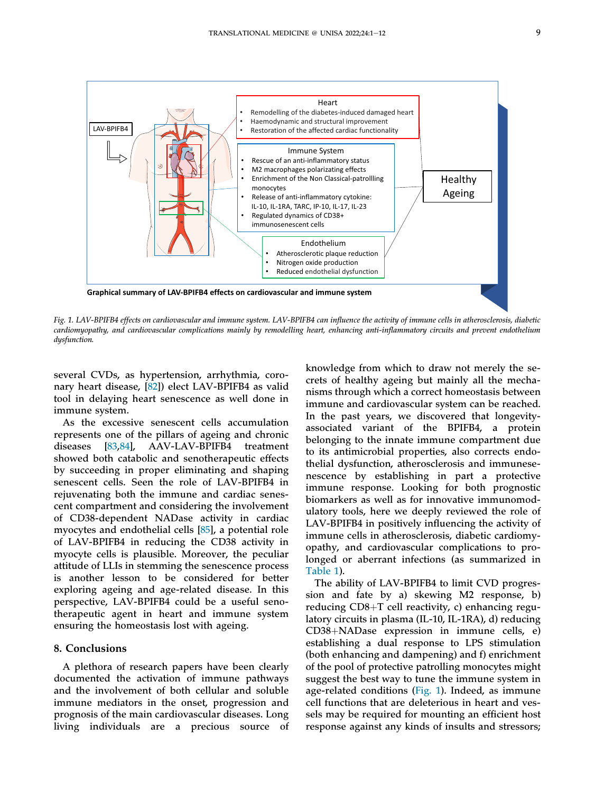<span id="page-10-0"></span>

Fig. 1. LAV-BPIFB4 effects on cardiovascular and immune system. LAV-BPIFB4 can influence the activity of immune cells in atherosclerosis, diabetic cardiomyopathy, and cardiovascular complications mainly by remodelling heart, enhancing anti-inflammatory circuits and prevent endothelium dysfunction.

several CVDs, as hypertension, arrhythmia, coronary heart disease, [[82\]](#page-13-21)) elect LAV-BPIFB4 as valid tool in delaying heart senescence as well done in immune system.

As the excessive senescent cells accumulation represents one of the pillars of ageing and chronic diseases [[83,](#page-13-22)[84](#page-13-23)], AAV-LAV-BPIFB4 treatment showed both catabolic and senotherapeutic effects by succeeding in proper eliminating and shaping senescent cells. Seen the role of LAV-BPIFB4 in rejuvenating both the immune and cardiac senescent compartment and considering the involvement of CD38-dependent NADase activity in cardiac myocytes and endothelial cells [[85\]](#page-13-24), a potential role of LAV-BPIFB4 in reducing the CD38 activity in myocyte cells is plausible. Moreover, the peculiar attitude of LLIs in stemming the senescence process is another lesson to be considered for better exploring ageing and age-related disease. In this perspective, LAV-BPIFB4 could be a useful senotherapeutic agent in heart and immune system ensuring the homeostasis lost with ageing.

#### 8. Conclusions

A plethora of research papers have been clearly documented the activation of immune pathways and the involvement of both cellular and soluble immune mediators in the onset, progression and prognosis of the main cardiovascular diseases. Long living individuals are a precious source of knowledge from which to draw not merely the secrets of healthy ageing but mainly all the mechanisms through which a correct homeostasis between immune and cardiovascular system can be reached. In the past years, we discovered that longevityassociated variant of the BPIFB4, a protein belonging to the innate immune compartment due to its antimicrobial properties, also corrects endothelial dysfunction, atherosclerosis and immunesenescence by establishing in part a protective immune response. Looking for both prognostic biomarkers as well as for innovative immunomodulatory tools, here we deeply reviewed the role of LAV-BPIFB4 in positively influencing the activity of immune cells in atherosclerosis, diabetic cardiomyopathy, and cardiovascular complications to prolonged or aberrant infections (as summarized in [Table 1\)](#page-9-0).

The ability of LAV-BPIFB4 to limit CVD progression and fate by a) skewing M2 response, b) reducing  $CD8+T$  cell reactivity, c) enhancing regulatory circuits in plasma (IL-10, IL-1RA), d) reducing  $CD38 + NADase$  expression in immune cells, e) establishing a dual response to LPS stimulation (both enhancing and dampening) and f) enrichment of the pool of protective patrolling monocytes might suggest the best way to tune the immune system in age-related conditions ([Fig. 1](#page-10-0)). Indeed, as immune cell functions that are deleterious in heart and vessels may be required for mounting an efficient host response against any kinds of insults and stressors;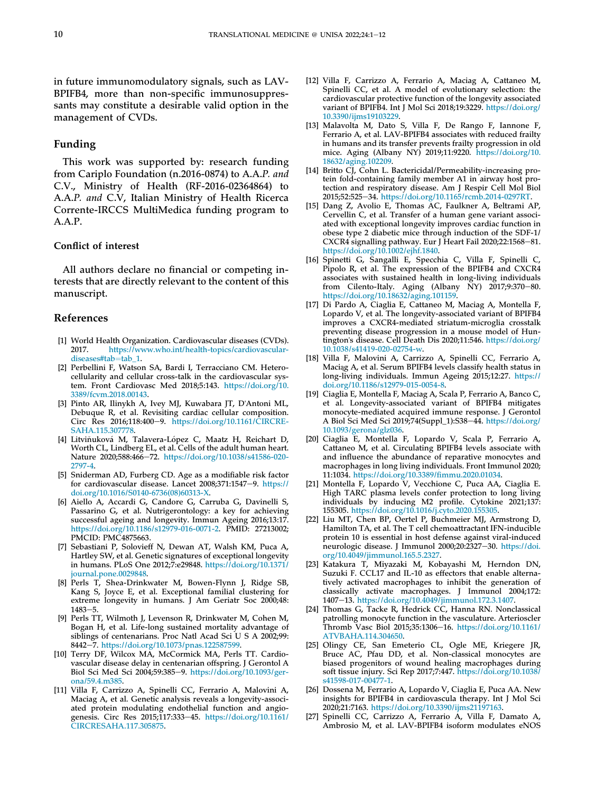in future immunomodulatory signals, such as LAV-BPIFB4, more than non-specific immunosuppressants may constitute a desirable valid option in the management of CVDs.

#### Funding

This work was supported by: research funding from Cariplo Foundation (n.2016-0874) to A.A.P. and C.V., Ministry of Health (RF-2016-02364864) to A.A.P. and C.V, Italian Ministry of Health Ricerca Corrente-IRCCS MultiMedica funding program to A.A.P.

#### Conflict of interest

All authors declare no financial or competing interests that are directly relevant to the content of this manuscript.

#### References

- <span id="page-11-0"></span>[1] World Health Organization. Cardiovascular diseases (CVDs). 2017. [https://www.who.int/health-topics/cardiovascular](https://www.who.int/health-topics/cardiovascular-diseases#tab=tab_1)[diseases#tab](https://www.who.int/health-topics/cardiovascular-diseases#tab=tab_1)=[tab\\_1](https://www.who.int/health-topics/cardiovascular-diseases#tab=tab_1).
- <span id="page-11-1"></span>[2] Perbellini F, Watson SA, Bardi I, Terracciano CM. Heterocellularity and cellular cross-talk in the cardiovascular system. Front Cardiovasc Med 2018;5:143. [https://doi.org/10.](https://doi.org/10.3389/fcvm.2018.00143) [3389/fcvm.2018.00143](https://doi.org/10.3389/fcvm.2018.00143).
- <span id="page-11-2"></span>[3] Pinto AR, Ilinykh A, Ivey MJ, Kuwabara JT, D'Antoni ML, Debuque R, et al. Revisiting cardiac cellular composition. Circ Res 2016;118:400-9. [https://doi.org/10.1161/CIRCRE-](https://doi.org/10.1161/CIRCRESAHA.115.307778)[SAHA.115.307778.](https://doi.org/10.1161/CIRCRESAHA.115.307778)
- <span id="page-11-3"></span>[4] Litviňuková M, Talavera-López C, Maatz H, Reichart D, Worth CL, Lindberg EL, et al. Cells of the adult human heart. Nature 2020;588:466-72. [https://doi.org/10.1038/s41586-020-](https://doi.org/10.1038/s41586-020-2797-4) [2797-4.](https://doi.org/10.1038/s41586-020-2797-4)
- <span id="page-11-4"></span>[5] Sniderman AD, Furberg CD. Age as a modifiable risk factor for cardiovascular disease. Lancet 2008;371:1547-9. [https://](https://doi.org/10.1016/S0140-6736(08)60313-X) [doi.org/10.1016/S0140-6736\(08\)60313-X](https://doi.org/10.1016/S0140-6736(08)60313-X).
- <span id="page-11-5"></span>[6] Aiello A, Accardi G, Candore G, Carruba G, Davinelli S, Passarino G, et al. Nutrigerontology: a key for achieving successful ageing and longevity. Immun Ageing 2016;13:17. <https://doi.org/10.1186/s12979-016-0071-2>. PMID: 27213002; PMCID: PMC4875663.
- <span id="page-11-6"></span>[7] Sebastiani P, Solovieff N, Dewan AT, Walsh KM, Puca A, Hartley SW, et al. Genetic signatures of exceptional longevity in humans. PLoS One 2012;7:e29848. [https://doi.org/10.1371/](https://doi.org/10.1371/journal.pone.0029848) [journal.pone.0029848](https://doi.org/10.1371/journal.pone.0029848).
- <span id="page-11-7"></span>[8] Perls T, Shea-Drinkwater M, Bowen-Flynn J, Ridge SB, Kang S, Joyce E, et al. Exceptional familial clustering for extreme longevity in humans. J Am Geriatr Soc 2000;48: 1483-5
- [9] Perls TT, Wilmoth J, Levenson R, Drinkwater M, Cohen M, Bogan H, et al. Life-long sustained mortality advantage of siblings of centenarians. Proc Natl Acad Sci U S A 2002;99: 8442-7. <https://doi.org/10.1073/pnas.122587599>.
- [10] Terry DF, Wilcox MA, McCormick MA, Perls TT. Cardiovascular disease delay in centenarian offspring. J Gerontol A Biol Sci Med Sci 2004;59:385-9. [https://doi.org/10.1093/ger](https://doi.org/10.1093/gerona/59.4.m385)[ona/59.4.m385](https://doi.org/10.1093/gerona/59.4.m385).
- <span id="page-11-8"></span>[11] Villa F, Carrizzo A, Spinelli CC, Ferrario A, Malovini A, Maciag A, et al. Genetic analysis reveals a longevity-associated protein modulating endothelial function and angiogenesis. Circ Res 2015;117:333-45. [https://doi.org/10.1161/](https://doi.org/10.1161/CIRCRESAHA.117.305875) [CIRCRESAHA.117.305875](https://doi.org/10.1161/CIRCRESAHA.117.305875).
- [12] Villa F, Carrizzo A, Ferrario A, Maciag A, Cattaneo M, Spinelli CC, et al. A model of evolutionary selection: the cardiovascular protective function of the longevity associated variant of BPIFB4. Int J Mol Sci 2018;19:3229. [https://doi.org/](https://doi.org/10.3390/ijms19103229) [10.3390/ijms19103229](https://doi.org/10.3390/ijms19103229).
- <span id="page-11-9"></span>[13] Malavolta M, Dato S, Villa F, De Rango F, Iannone F, Ferrario A, et al. LAV-BPIFB4 associates with reduced frailty in humans and its transfer prevents frailty progression in old mice. Aging (Albany NY) 2019;11:9220. [https://doi.org/10.](https://doi.org/10.18632/aging.102209) [18632/aging.102209.](https://doi.org/10.18632/aging.102209)
- <span id="page-11-10"></span>[14] Britto CJ, Cohn L. Bactericidal/Permeability-increasing protein fold-containing family member A1 in airway host protection and respiratory disease. Am J Respir Cell Mol Biol 2015;52:525-34. <https://doi.org/10.1165/rcmb.2014-0297RT>.
- <span id="page-11-11"></span>[15] Dang Z, Avolio E, Thomas AC, Faulkner A, Beltrami AP, Cervellin C, et al. Transfer of a human gene variant associated with exceptional longevity improves cardiac function in obese type 2 diabetic mice through induction of the SDF-1/ CXCR4 signalling pathway. Eur J Heart Fail 2020;22:1568-81. <https://doi.org/10.1002/ejhf.1840>.
- <span id="page-11-12"></span>[16] Spinetti G, Sangalli E, Specchia C, Villa F, Spinelli C, Pipolo R, et al. The expression of the BPIFB4 and CXCR4 associates with sustained health in long-living individuals from Cilento-Italy. Aging (Albany NY)  $2017;9:370-80$ . [https://doi.org/10.18632/aging.101159.](https://doi.org/10.18632/aging.101159)
- <span id="page-11-13"></span>[17] Di Pardo A, Ciaglia E, Cattaneo M, Maciag A, Montella F, Lopardo V, et al. The longevity-associated variant of BPIFB4 improves a CXCR4-mediated striatum-microglia crosstalk preventing disease progression in a mouse model of Huntington's disease. Cell Death Dis 2020;11:546. [https://doi.org/](https://doi.org/10.1038/s41419-020-02754-w) [10.1038/s41419-020-02754-w.](https://doi.org/10.1038/s41419-020-02754-w)
- <span id="page-11-14"></span>[18] Villa F, Malovini A, Carrizzo A, Spinelli CC, Ferrario A, Maciąg A, et al. Serum BPIFB4 levels classify health status in long-living individuals. Immun Ageing 2015;12:27. [https://](https://doi.org/10.1186/s12979-015-0054-8) [doi.org/10.1186/s12979-015-0054-8.](https://doi.org/10.1186/s12979-015-0054-8)
- <span id="page-11-15"></span>[19] Ciaglia E, Montella F, Maciag A, Scala P, Ferrario A, Banco C, et al. Longevity-associated variant of BPIFB4 mitigates monocyte-mediated acquired immune response. J Gerontol A Biol Sci Med Sci 2019;74(Suppl\_1):S38-44. [https://doi.org/](https://doi.org/10.1093/gerona/glz036) [10.1093/gerona/glz036.](https://doi.org/10.1093/gerona/glz036)
- <span id="page-11-16"></span>[20] Ciaglia E, Montella F, Lopardo V, Scala P, Ferrario A, Cattaneo M, et al. Circulating BPIFB4 levels associate with and influence the abundance of reparative monocytes and macrophages in long living individuals. Front Immunol 2020; 11:1034. [https://doi.org/10.3389/](https://doi.org/10.3389/fimmu.2020.01034)fimmu.2020.01034.
- <span id="page-11-17"></span>[21] Montella F, Lopardo V, Vecchione C, Puca AA, Ciaglia E. High TARC plasma levels confer protection to long living individuals by inducing M2 profile. Cytokine 2021;137: 155305. <https://doi.org/10.1016/j.cyto.2020.155305>.
- <span id="page-11-18"></span>[22] Liu MT, Chen BP, Oertel P, Buchmeier MJ, Armstrong D, Hamilton TA, et al. The T cell chemoattractant IFN-inducible protein 10 is essential in host defense against viral-induced neurologic disease. J Immunol 2000;20:2327-30. [https://doi.](https://doi.org/10.4049/jimmunol.165.5.2327) [org/10.4049/jimmunol.165.5.2327](https://doi.org/10.4049/jimmunol.165.5.2327).
- <span id="page-11-19"></span>[23] Katakura T, Miyazaki M, Kobayashi M, Herndon DN, Suzuki F. CCL17 and IL-10 as effectors that enable alternatively activated macrophages to inhibit the generation of classically activate macrophages. J Immunol 2004;172: 1407e13. <https://doi.org/10.4049/jimmunol.172.3.1407>.
- <span id="page-11-20"></span>[24] Thomas G, Tacke R, Hedrick CC, Hanna RN. Nonclassical patrolling monocyte function in the vasculature. Arterioscler Thromb Vasc Biol 2015;35:1306-16. [https://doi.org/10.1161/](https://doi.org/10.1161/ATVBAHA.114.304650) [ATVBAHA.114.304650](https://doi.org/10.1161/ATVBAHA.114.304650).
- <span id="page-11-21"></span>[25] Olingy CE, San Emeterio CL, Ogle ME, Kriegere JR, Bruce AC, Pfau DD, et al. Non-classical monocytes are biased progenitors of wound healing macrophages during soft tissue injury. Sci Rep 2017;7:447. [https://doi.org/10.1038/](https://doi.org/10.1038/s41598-017-00477-1) [s41598-017-00477-1.](https://doi.org/10.1038/s41598-017-00477-1)
- <span id="page-11-22"></span>[26] Dossena M, Ferrario A, Lopardo V, Ciaglia E, Puca AA. New insights for BPIFB4 in cardiovascula therapy. Int J Mol Sci 2020;21:7163. <https://doi.org/10.3390/ijms21197163>.
- <span id="page-11-23"></span>[27] Spinelli CC, Carrizzo A, Ferrario A, Villa F, Damato A, Ambrosio M, et al. LAV-BPIFB4 isoform modulates eNOS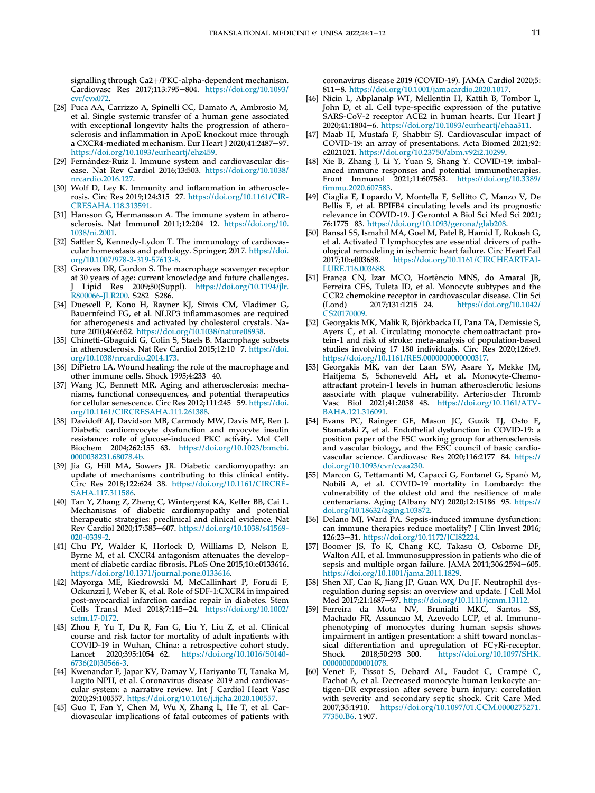signalling through Ca2+/PKC-alpha-dependent mechanism. Cardiovasc Res 2017;113:795-804. [https://doi.org/10.1093/](https://doi.org/10.1093/cvr/cvx072) [cvr/cvx072.](https://doi.org/10.1093/cvr/cvx072)

- <span id="page-12-0"></span>[28] Puca AA, Carrizzo A, Spinelli CC, Damato A, Ambrosio M, et al. Single systemic transfer of a human gene associated with exceptional longevity halts the progression of atherosclerosis and inflammation in ApoE knockout mice through a CXCR4-mediated mechanism. Eur Heart J 2020;41:2487-97. <https://doi.org/10.1093/eurheartj/ehz459>.
- <span id="page-12-1"></span>[29] Fernández-Ruiz I. Immune system and cardiovascular disease. Nat Rev Cardiol 2016;13:503. [https://doi.org/10.1038/](https://doi.org/10.1038/nrcardio.2016.127) [nrcardio.2016.127](https://doi.org/10.1038/nrcardio.2016.127).
- <span id="page-12-2"></span>[30] Wolf D, Ley K. Immunity and inflammation in atherosclerosis. Circ Res 2019;124:315-27. [https://doi.org/10.1161/CIR-](https://doi.org/10.1161/CIRCRESAHA.118.313591)[CRESAHA.118.313591](https://doi.org/10.1161/CIRCRESAHA.118.313591).
- <span id="page-12-3"></span>[31] Hansson G, Hermansson A. The immune system in atherosclerosis. Nat Immunol 2011;12:204-12. [https://doi.org/10.](https://doi.org/10.1038/ni.2001) [1038/ni.2001.](https://doi.org/10.1038/ni.2001)
- <span id="page-12-4"></span>[32] Sattler S, Kennedy-Lydon T. The immunology of cardiovascular homeostasis and pathology. Springer; 2017. [https://doi.](https://doi.org/10.1007/978-3-319-57613-8) [org/10.1007/978-3-319-57613-8.](https://doi.org/10.1007/978-3-319-57613-8)
- <span id="page-12-5"></span>[33] Greaves DR, Gordon S. The macrophage scavenger receptor at 30 years of age: current knowledge and future challenges. Lipid Res 2009;50(Suppl). [https://doi.org/10.1194/jlr.](https://doi.org/10.1194/jlr.R800066-JLR200) [R800066-JLR200](https://doi.org/10.1194/jlr.R800066-JLR200). S282-S286.
- <span id="page-12-6"></span>[34] Duewell P, Kono H, Rayner KJ, Sirois CM, Vladimer G, Bauernfeind FG, et al. NLRP3 inflammasomes are required for atherogenesis and activated by cholesterol crystals. Nature 2010;466:652. [https://doi.org/10.1038/nature08938.](https://doi.org/10.1038/nature08938)
- <span id="page-12-7"></span>[35] Chinetti-Gbaguidi G, Colin S, Staels B. Macrophage subsets in atherosclerosis. Nat Rev Cardiol 2015;12:10-7. [https://doi.](https://doi.org/10.1038/nrcardio.2014.173) [org/10.1038/nrcardio.2014.173](https://doi.org/10.1038/nrcardio.2014.173).
- <span id="page-12-8"></span>[36] DiPietro LA. Wound healing: the role of the macrophage and other immune cells. Shock 1995;4:233-40.
- <span id="page-12-9"></span>[37] Wang JC, Bennett MR. Aging and atherosclerosis: mechanisms, functional consequences, and potential therapeutics for cellular senescence. Circ Res 2012;111:245-59. [https://doi.](https://doi.org/10.1161/CIRCRESAHA.111.261388) [org/10.1161/CIRCRESAHA.111.261388](https://doi.org/10.1161/CIRCRESAHA.111.261388).
- <span id="page-12-10"></span>[38] Davidoff AJ, Davidson MB, Carmody MW, Davis ME, Ren J. Diabetic cardiomyocyte dysfunction and myocyte insulin resistance: role of glucose-induced PKC activity. Mol Cell Biochem 2004;262:155-63. [https://doi.org/10.1023/b:mcbi.](https://doi.org/10.1023/b:mcbi.0000038231.68078.4b) [0000038231.68078.4b](https://doi.org/10.1023/b:mcbi.0000038231.68078.4b).
- <span id="page-12-11"></span>[39] Jia G, Hill MA, Sowers JR. Diabetic cardiomyopathy: an update of mechanisms contributing to this clinical entity. Circ Res 2018;122:624-38. [https://doi.org/10.1161/CIRCRE-](https://doi.org/10.1161/CIRCRESAHA.117.311586)[SAHA.117.311586.](https://doi.org/10.1161/CIRCRESAHA.117.311586)
- <span id="page-12-12"></span>[40] Tan Y, Zhang Z, Zheng C, Wintergerst KA, Keller BB, Cai L. Mechanisms of diabetic cardiomyopathy and potential therapeutic strategies: preclinical and clinical evidence. Nat Rev Cardiol 2020;17:585-607. [https://doi.org/10.1038/s41569-](https://doi.org/10.1038/s41569-020-0339-2) [020-0339-2.](https://doi.org/10.1038/s41569-020-0339-2)
- <span id="page-12-13"></span>[41] Chu PY, Walder K, Horlock D, Williams D, Nelson E, Byrne M, et al. CXCR4 antagonism attenuates the development of diabetic cardiac fibrosis. PLoS One 2015;10:e0133616. <https://doi.org/10.1371/journal.pone.0133616>.
- <span id="page-12-14"></span>[42] Mayorga ME, Kiedrowski M, McCallinhart P, Forudi F, Ockunzzi J, Weber K, et al. Role of SDF-1:CXCR4 in impaired post-myocardial infarction cardiac repair in diabetes. Stem Cells Transl Med 2018;7:115-24. [https://doi.org/10.1002/](https://doi.org/10.1002/sctm.17-0172) [sctm.17-0172.](https://doi.org/10.1002/sctm.17-0172)
- <span id="page-12-15"></span>[43] Zhou F, Yu T, Du R, Fan G, Liu Y, Liu Z, et al. Clinical course and risk factor for mortality of adult inpatients with COVID-19 in Wuhan, China: a retrospective cohort study. Lancet 2020;395:1054-62. [https://doi.org/10.1016/S0140-](https://doi.org/10.1016/S0140-6736(20)30566-3) [6736\(20\)30566-3.](https://doi.org/10.1016/S0140-6736(20)30566-3)
- <span id="page-12-16"></span>[44] Kwenandar F, Japar KV, Damay V, Hariyanto TI, Tanaka M, Lugito NPH, et al. Coronavirus disease 2019 and cardiovascular system: a narrative review. Int J Cardiol Heart Vasc 2020;29:100557. [https://doi.org/10.1016/j.ijcha.2020.100557.](https://doi.org/10.1016/j.ijcha.2020.100557)
- <span id="page-12-17"></span>[45] Guo T, Fan Y, Chen M, Wu X, Zhang L, He T, et al. Cardiovascular implications of fatal outcomes of patients with

coronavirus disease 2019 (COVID-19). JAMA Cardiol 2020;5: 811-8. <https://doi.org/10.1001/jamacardio.2020.1017>

- <span id="page-12-18"></span>[46] Nicin L, Abplanalp WT, Mellentin H, Kattih B, Tombor L, John D, et al. Cell type-specific expression of the putative SARS-CoV-2 receptor ACE2 in human hearts. Eur Heart J 2020;41:1804-6. <https://doi.org/10.1093/eurheartj/ehaa311>.
- <span id="page-12-19"></span>[47] Maab H, Mustafa F, Shabbir SJ. Cardiovascular impact of COVID-19: an array of presentations. Acta Biomed 2021;92: e2021021. [https://doi.org/10.23750/abm.v92i2.10299.](https://doi.org/10.23750/abm.v92i2.10299)
- <span id="page-12-20"></span>[48] Xie B, Zhang J, Li Y, Yuan S, Shang Y. COVID-19: imbalanced immune responses and potential immunotherapies.<br>Front Immunol 2021;11:607583. https://doi.org/10.3389/ Front Immunol 2021;11:607583. [https://doi.org/10.3389/](https://doi.org/10.3389/fimmu.2020.607583) fi[mmu.2020.607583.](https://doi.org/10.3389/fimmu.2020.607583)
- <span id="page-12-21"></span>[49] Ciaglia E, Lopardo V, Montella F, Sellitto C, Manzo V, De Bellis E, et al. BPIFB4 circulating levels and its prognostic relevance in COVID-19. J Gerontol A Biol Sci Med Sci 2021; 76:1775-83. [https://doi.org/10.1093/gerona/glab208.](https://doi.org/10.1093/gerona/glab208)
- <span id="page-12-22"></span>[50] Bansal SS, Ismahil MA, Goel M, Patel B, Hamid T, Rokosh G, et al. Activated T lymphocytes are essential drivers of pathological remodeling in ischemic heart failure. Circ Heart Fail 2017;10:e003688. [https://doi.org/10.1161/CIRCHEARTFAI-](https://doi.org/10.1161/CIRCHEARTFAILURE.116.003688)[LURE.116.003688](https://doi.org/10.1161/CIRCHEARTFAILURE.116.003688).
- <span id="page-12-23"></span>[51] França CN, Izar MCO, Hortencio MNS, do Amaral JB, ^ Ferreira CES, Tuleta ID, et al. Monocyte subtypes and the CCR2 chemokine receptor in cardiovascular disease. Clin Sci (Lond) 2017;131:1215-24. https://doi.org/10.1042/ [https://doi.org/10.1042/](https://doi.org/10.1042/CS20170009) [CS20170009](https://doi.org/10.1042/CS20170009)
- <span id="page-12-24"></span>[52] Georgakis MK, Malik R, Björkbacka H, Pana TA, Demissie S, Ayers C, et al. Circulating monocyte chemoattractant protein-1 and risk of stroke: meta-analysis of population-based studies involving 17 180 individuals. Circ Res 2020;126:e9. [https://doi.org/10.1161/RES.0000000000000317.](https://doi.org/10.1161/RES.0000000000000317)
- <span id="page-12-25"></span>[53] Georgakis MK, van der Laan SW, Asare Y, Mekke JM, Haitjema S, Schoneveld AH, et al. Monocyte-Chemoattractant protein-1 levels in human atherosclerotic lesions associate with plaque vulnerability. Arterioscler Thromb Vasc Biol 2021;41:2038-48. [https://doi.org/10.1161/ATV-](https://doi.org/10.1161/ATVBAHA.121.316091)[BAHA.121.316091](https://doi.org/10.1161/ATVBAHA.121.316091).
- <span id="page-12-26"></span>[54] Evans PC, Rainger GE, Mason JC, Guzik TJ, Osto E, Stamataki Z, et al. Endothelial dysfunction in COVID-19: a position paper of the ESC working group for atherosclerosis and vascular biology, and the ESC council of basic cardiovascular science. Cardiovasc Res 2020;116:2177-84. [https://](https://doi.org/10.1093/cvr/cvaa230) [doi.org/10.1093/cvr/cvaa230.](https://doi.org/10.1093/cvr/cvaa230)
- <span id="page-12-27"></span>[55] Marcon G, Tettamanti M, Capacci G, Fontanel G, Spanò M, Nobili A, et al. COVID-19 mortality in Lombardy: the vulnerability of the oldest old and the resilience of male centenarians. Aging (Albany NY) 2020;12:15186-95. [https://](https://doi.org/10.18632/aging.103872) [doi.org/10.18632/aging.103872](https://doi.org/10.18632/aging.103872).
- <span id="page-12-28"></span>[56] Delano MJ, Ward PA. Sepsis-induced immune dysfunction: can immune therapies reduce mortality? J Clin Invest 2016; 126:23e31. [https://doi.org/10.1172/JCI82224.](https://doi.org/10.1172/JCI82224)
- <span id="page-12-29"></span>[57] Boomer JS, To K, Chang KC, Takasu O, Osborne DF, Walton AH, et al. Immunosuppression in patients who die of sepsis and multiple organ failure. JAMA 2011;306:2594-605. <https://doi.org/10.1001/jama.2011.1829>.
- <span id="page-12-30"></span>[58] Shen XF, Cao K, Jiang JP, Guan WX, Du JF. Neutrophil dysregulation during sepsis: an overview and update. J Cell Mol Med 2017;21:1687-97. [https://doi.org/10.1111/jcmm.13112.](https://doi.org/10.1111/jcmm.13112)
- <span id="page-12-31"></span>[59] Ferreira da Mota NV, Brunialti MKC, Santos SS, Machado FR, Assuncao M, Azevedo LCP, et al. Immunophenotyping of monocytes during human sepsis shows impairment in antigen presentation: a shift toward nonclassical differentiation and upregulation of  $FC\gamma Ri$ -receptor.<br>Shock 2018;50:293-300. https://doi.org/10.1097/SHK. [https://doi.org/10.1097/SHK.](https://doi.org/10.1097/SHK.0000000000001078) [0000000000001078.](https://doi.org/10.1097/SHK.0000000000001078)
- <span id="page-12-32"></span>[60] Venet F, Tissot S, Debard AL, Faudot C, Crampé C, Pachot A, et al. Decreased monocyte human leukocyte antigen-DR expression after severe burn injury: correlation with severity and secondary septic shock. Crit Care Med 2007;35:1910. [https://doi.org/10.1097/01.CCM.0000275271.](https://doi.org/10.1097/01.CCM.0000275271.77350.B6) [77350.B6.](https://doi.org/10.1097/01.CCM.0000275271.77350.B6) 1907.